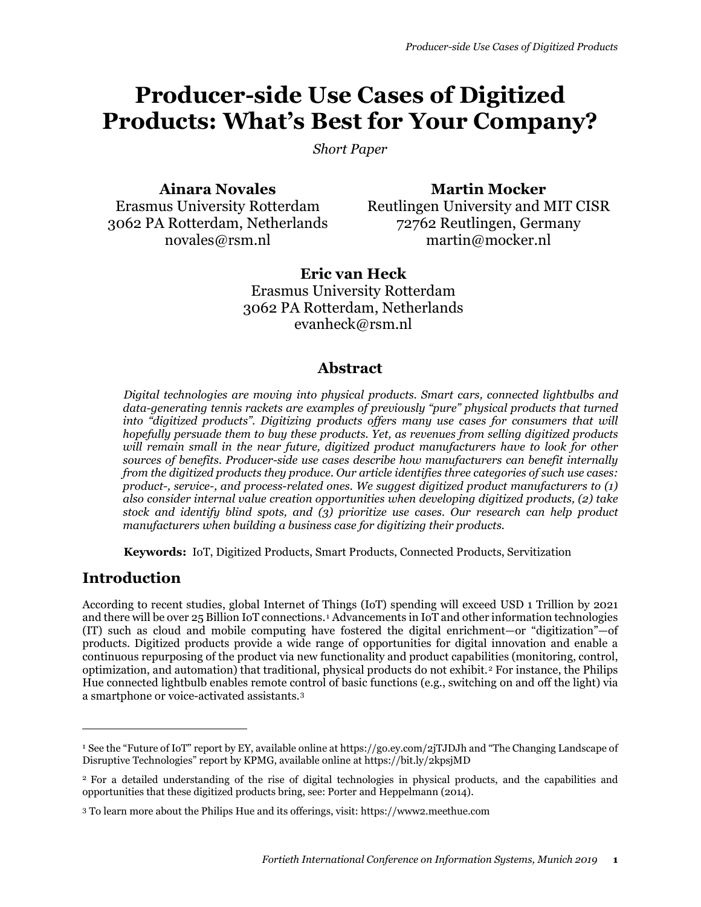# **Producer-side Use Cases of Digitized Products: What's Best for Your Company?**

*Short Paper*

**Ainara Novales** Erasmus University Rotterdam 3062 PA Rotterdam, Netherlands novales@rsm.nl

**Martin Mocker** Reutlingen University and MIT CISR 72762 Reutlingen, Germany martin@mocker.nl

**Eric van Heck** Erasmus University Rotterdam 3062 PA Rotterdam, Netherlands evanheck@rsm.nl

### **Abstract**

*Digital technologies are moving into physical products. Smart cars, connected lightbulbs and data-generating tennis rackets are examples of previously "pure" physical products that turned into "digitized products". Digitizing products offers many use cases for consumers that will hopefully persuade them to buy these products. Yet, as revenues from selling digitized products will remain small in the near future, digitized product manufacturers have to look for other sources of benefits. Producer-side use cases describe how manufacturers can benefit internally from the digitized products they produce. Our article identifies three categories of such use cases: product-, service-, and process-related ones. We suggest digitized product manufacturers to (1) also consider internal value creation opportunities when developing digitized products, (2) take stock and identify blind spots, and (3) prioritize use cases. Our research can help product manufacturers when building a business case for digitizing their products.*

**Keywords:** IoT, Digitized Products, Smart Products, Connected Products, Servitization

### **Introduction**

 $\overline{a}$ 

According to recent studies, global Internet of Things (IoT) spending will exceed USD 1 Trillion by 2021 and there will be over 25 Billion IoT connections.[1](#page-0-0) Advancements in IoT and other information technologies (IT) such as cloud and mobile computing have fostered the digital enrichment—or "digitization"—of products. Digitized products provide a wide range of opportunities for digital innovation and enable a continuous repurposing of the product via new functionality and product capabilities (monitoring, control, optimization, and automation) that traditional, physical products do not exhibit.[2](#page-0-1) For instance, the Philips Hue connected lightbulb enables remote control of basic functions (e.g., switching on and off the light) via a smartphone or voice-activated assistants.[3](#page-0-2)

<span id="page-0-0"></span><sup>1</sup> See the "Future of IoT" report by EY, available online at https://go.ey.com/2jTJDJh and "The Changing Landscape of Disruptive Technologies" report by KPMG, available online at https://bit.ly/2kpsjMD

<span id="page-0-1"></span><sup>2</sup> For a detailed understanding of the rise of digital technologies in physical products, and the capabilities and opportunities that these digitized products bring, see: Porter and Heppelmann (2014).

<span id="page-0-2"></span><sup>3</sup> To learn more about the Philips Hue and its offerings, visit: https://www2.meethue.com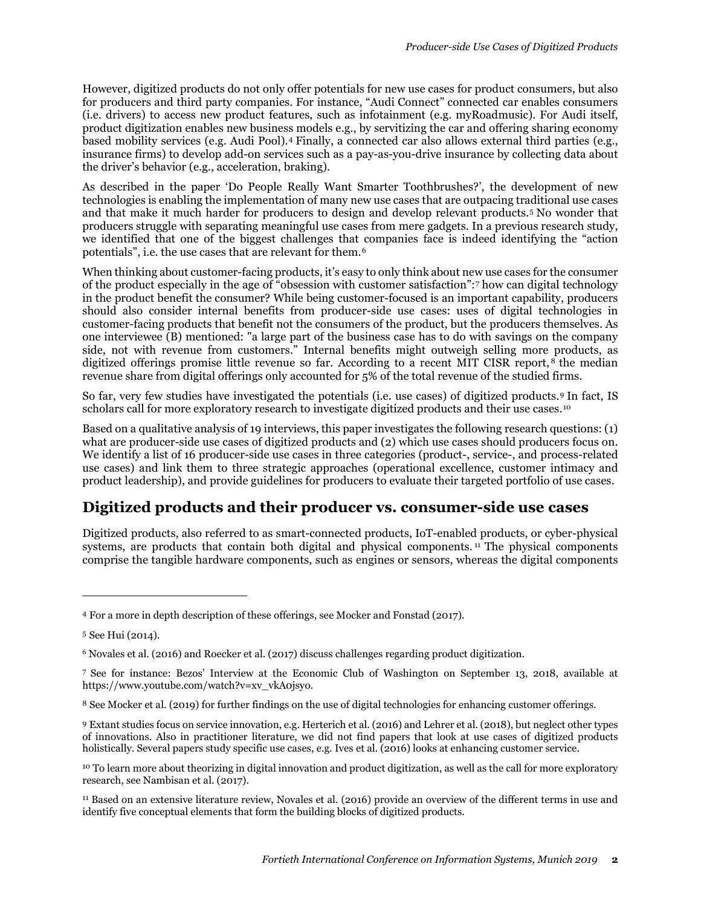However, digitized products do not only offer potentials for new use cases for product consumers, but also for producers and third party companies. For instance, "Audi Connect" connected car enables consumers (i.e. drivers) to access new product features, such as infotainment (e.g. myRoadmusic). For Audi itself, product digitization enables new business models e.g., by servitizing the car and offering sharing economy based mobility services (e.g. Audi Pool).[4](#page-1-0) Finally, a connected car also allows external third parties (e.g., insurance firms) to develop add-on services such as a pay-as-you-drive insurance by collecting data about the driver's behavior (e.g., acceleration, braking).

As described in the paper 'Do People Really Want Smarter Toothbrushes?', the development of new technologies is enabling the implementation of many new use cases that are outpacing traditional use cases and that make it much harder for producers to design and develop relevant products.[5](#page-1-1) No wonder that producers struggle with separating meaningful use cases from mere gadgets. In a previous research study, we identified that one of the biggest challenges that companies face is indeed identifying the "action potentials", i.e. the use cases that are relevant for them.[6](#page-1-2)

When thinking about customer-facing products, it's easy to only think about new use cases for the consumer of the product especially in the age of "obsession with customer satisfaction":[7](#page-1-3) how can digital technology in the product benefit the consumer? While being customer-focused is an important capability, producers should also consider internal benefits from producer-side use cases: uses of digital technologies in customer-facing products that benefit not the consumers of the product, but the producers themselves. As one interviewee (B) mentioned: "a large part of the business case has to do with savings on the company side, not with revenue from customers." Internal benefits might outweigh selling more products, as digitized offerings promise little revenue so far. According to a recent MIT CISR report, [8](#page-1-4) the median revenue share from digital offerings only accounted for 5% of the total revenue of the studied firms.

So far, very few studies have investigated the potentials (i.e. use cases) of digitized products.[9](#page-1-5) In fact, IS scholars call for more exploratory research to investigate digitized products and their use cases.<sup>[10](#page-1-6)</sup>

Based on a qualitative analysis of 19 interviews, this paper investigates the following research questions: (1) what are producer-side use cases of digitized products and (2) which use cases should producers focus on. We identify a list of 16 producer-side use cases in three categories (product-, service-, and process-related use cases) and link them to three strategic approaches (operational excellence, customer intimacy and product leadership), and provide guidelines for producers to evaluate their targeted portfolio of use cases.

### **Digitized products and their producer vs. consumer-side use cases**

Digitized products, also referred to as smart-connected products, IoT-enabled products, or cyber-physical systems, are products that contain both digital and physical components.<sup>[11](#page-1-7)</sup> The physical components comprise the tangible hardware components, such as engines or sensors, whereas the digital components

1

<span id="page-1-0"></span><sup>4</sup> For a more in depth description of these offerings, see Mocker and Fonstad (2017).

<span id="page-1-1"></span><sup>5</sup> See Hui (2014).

<span id="page-1-2"></span><sup>6</sup> Novales et al. (2016) and Roecker et al. (2017) discuss challenges regarding product digitization.

<span id="page-1-3"></span><sup>7</sup> See for instance: Bezos' Interview at the Economic Club of Washington on September 13, 2018, available at https://www.youtube.com/watch?v=xv\_vkA0jsyo.

<span id="page-1-4"></span><sup>8</sup> See Mocker et al. (2019) for further findings on the use of digital technologies for enhancing customer offerings.

<span id="page-1-5"></span><sup>9</sup> Extant studies focus on service innovation, e.g. Herterich et al. (2016) and Lehrer et al. (2018), but neglect other types of innovations. Also in practitioner literature, we did not find papers that look at use cases of digitized products holistically. Several papers study specific use cases, e.g. Ives et al. (2016) looks at enhancing customer service.

<span id="page-1-6"></span><sup>&</sup>lt;sup>10</sup> To learn more about theorizing in digital innovation and product digitization, as well as the call for more exploratory research, see Nambisan et al. (2017).

<span id="page-1-7"></span><sup>11</sup> Based on an extensive literature review, Novales et al. (2016) provide an overview of the different terms in use and identify five conceptual elements that form the building blocks of digitized products.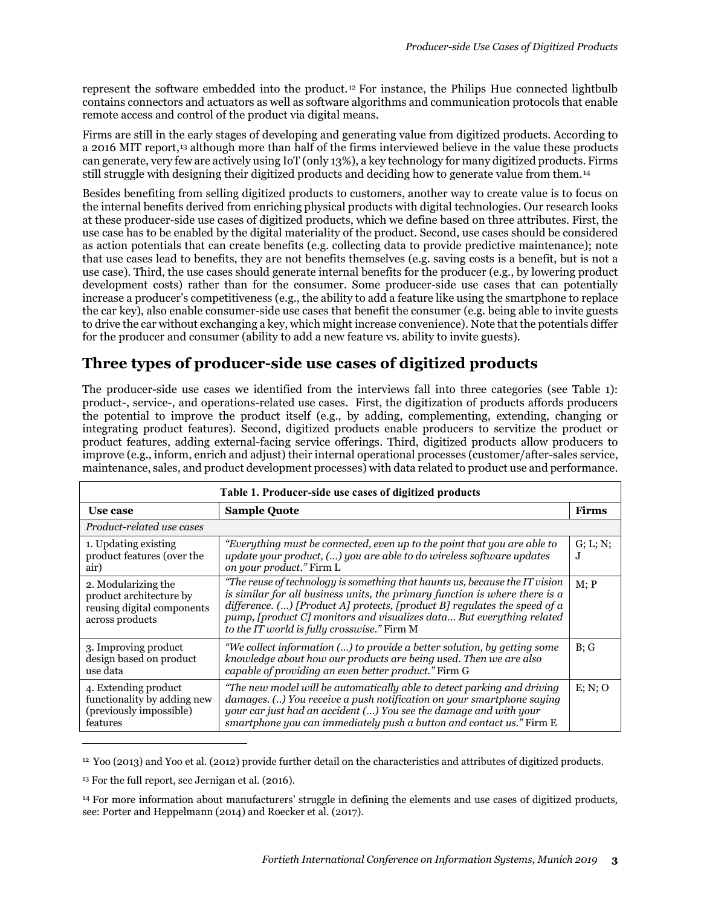represent the software embedded into the product. [12](#page-2-0) For instance, the Philips Hue connected lightbulb contains connectors and actuators as well as software algorithms and communication protocols that enable remote access and control of the product via digital means.

Firms are still in the early stages of developing and generating value from digitized products. According to a 2016 MIT report,<sup>[13](#page-2-1)</sup> although more than half of the firms interviewed believe in the value these products can generate, very few are actively using IoT (only 13%), a key technology for many digitized products. Firms still struggle with designing their digitized products and deciding how to generate value from them.[14](#page-2-2)

Besides benefiting from selling digitized products to customers, another way to create value is to focus on the internal benefits derived from enriching physical products with digital technologies. Our research looks at these producer-side use cases of digitized products, which we define based on three attributes. First, the use case has to be enabled by the digital materiality of the product. Second, use cases should be considered as action potentials that can create benefits (e.g. collecting data to provide predictive maintenance); note that use cases lead to benefits, they are not benefits themselves (e.g. saving costs is a benefit, but is not a use case). Third, the use cases should generate internal benefits for the producer (e.g., by lowering product development costs) rather than for the consumer. Some producer-side use cases that can potentially increase a producer's competitiveness (e.g., the ability to add a feature like using the smartphone to replace the car key), also enable consumer-side use cases that benefit the consumer (e.g. being able to invite guests to drive the car without exchanging a key, which might increase convenience). Note that the potentials differ for the producer and consumer (ability to add a new feature vs. ability to invite guests).

# **Three types of producer-side use cases of digitized products**

The producer-side use cases we identified from the interviews fall into three categories (see Table 1): product-, service-, and operations-related use cases. First, the digitization of products affords producers the potential to improve the product itself (e.g., by adding, complementing, extending, changing or integrating product features). Second, digitized products enable producers to servitize the product or product features, adding external-facing service offerings. Third, digitized products allow producers to improve (e.g., inform, enrich and adjust) their internal operational processes (customer/after-sales service, maintenance, sales, and product development processes) with data related to product use and performance.

| Table 1. Producer-side use cases of digitized products                                          |                                                                                                                                                                                                                                                                                                                                                                   |              |  |  |  |  |
|-------------------------------------------------------------------------------------------------|-------------------------------------------------------------------------------------------------------------------------------------------------------------------------------------------------------------------------------------------------------------------------------------------------------------------------------------------------------------------|--------------|--|--|--|--|
| Use case                                                                                        | <b>Sample Quote</b>                                                                                                                                                                                                                                                                                                                                               | <b>Firms</b> |  |  |  |  |
| Product-related use cases                                                                       |                                                                                                                                                                                                                                                                                                                                                                   |              |  |  |  |  |
| 1. Updating existing<br>product features (over the<br>air)                                      | "Everything must be connected, even up to the point that you are able to<br>update your product, () you are able to do wireless software updates<br>on your product." Firm L                                                                                                                                                                                      |              |  |  |  |  |
| 2. Modularizing the<br>product architecture by<br>reusing digital components<br>across products | "The reuse of technology is something that haunts us, because the IT vision<br>is similar for all business units, the primary function is where there is a<br>difference. $()$ [Product A] protects, [product B] regulates the speed of a<br>pump, [product C] monitors and visualizes data But everything related<br>to the IT world is fully crosswise." Firm M | M: P         |  |  |  |  |
| 3. Improving product<br>design based on product<br>use data                                     | "We collect information () to provide a better solution, by getting some<br>knowledge about how our products are being used. Then we are also<br>capable of providing an even better product." Firm G                                                                                                                                                             | B:G          |  |  |  |  |
| 4. Extending product<br>functionality by adding new<br>(previously impossible)<br>features      | "The new model will be automatically able to detect parking and driving<br>damages. () You receive a push notification on your smartphone saying<br>your car just had an accident () You see the damage and with your<br>smartphone you can immediately push a button and contact us." Firm E                                                                     | E: N: O      |  |  |  |  |

<span id="page-2-0"></span> $12$  Yoo (2013) and Yoo et al. (2012) provide further detail on the characteristics and attributes of digitized products.

 $\overline{a}$ 

<span id="page-2-1"></span><sup>&</sup>lt;sup>13</sup> For the full report, see Jernigan et al. (2016).

<span id="page-2-2"></span><sup>14</sup> For more information about manufacturers' struggle in defining the elements and use cases of digitized products, see: Porter and Heppelmann (2014) and Roecker et al. (2017).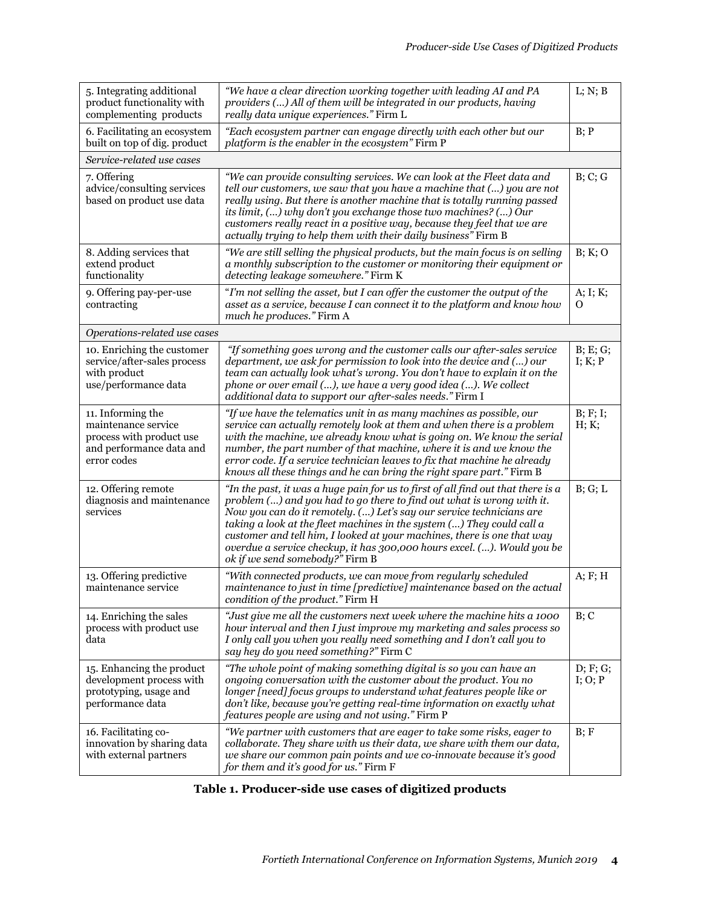| 5. Integrating additional<br>product functionality with<br>complementing products                               | "We have a clear direction working together with leading AI and PA<br>providers () All of them will be integrated in our products, having<br>really data unique experiences." Firm L                                                                                                                                                                                                                                                                                                                 |                     |  |  |
|-----------------------------------------------------------------------------------------------------------------|------------------------------------------------------------------------------------------------------------------------------------------------------------------------------------------------------------------------------------------------------------------------------------------------------------------------------------------------------------------------------------------------------------------------------------------------------------------------------------------------------|---------------------|--|--|
| 6. Facilitating an ecosystem<br>built on top of dig. product                                                    | "Each ecosystem partner can engage directly with each other but our<br>platform is the enabler in the ecosystem" Firm P                                                                                                                                                                                                                                                                                                                                                                              |                     |  |  |
| Service-related use cases                                                                                       |                                                                                                                                                                                                                                                                                                                                                                                                                                                                                                      |                     |  |  |
| 7. Offering<br>advice/consulting services<br>based on product use data                                          | "We can provide consulting services. We can look at the Fleet data and<br>tell our customers, we saw that you have a machine that () you are not<br>really using. But there is another machine that is totally running passed<br>its limit, () why don't you exchange those two machines? () Our<br>customers really react in a positive way, because they feel that we are<br>actually trying to help them with their daily business" Firm B                                                        |                     |  |  |
| 8. Adding services that<br>extend product<br>functionality                                                      | "We are still selling the physical products, but the main focus is on selling<br>a monthly subscription to the customer or monitoring their equipment or<br>detecting leakage somewhere." Firm K                                                                                                                                                                                                                                                                                                     |                     |  |  |
| 9. Offering pay-per-use<br>contracting                                                                          | "I'm not selling the asset, but I can offer the customer the output of the<br>asset as a service, because I can connect it to the platform and know how<br>much he produces." Firm A                                                                                                                                                                                                                                                                                                                 |                     |  |  |
| Operations-related use cases                                                                                    |                                                                                                                                                                                                                                                                                                                                                                                                                                                                                                      |                     |  |  |
| 10. Enriching the customer<br>service/after-sales process<br>with product<br>use/performance data               | "If something goes wrong and the customer calls our after-sales service<br>department, we ask for permission to look into the device and () our<br>team can actually look what's wrong. You don't have to explain it on the<br>phone or over email (), we have a very good idea (). We collect<br>additional data to support our after-sales needs." Firm I                                                                                                                                          | B; E; G;<br>I; K; P |  |  |
| 11. Informing the<br>maintenance service<br>process with product use<br>and performance data and<br>error codes | "If we have the telematics unit in as many machines as possible, our<br>service can actually remotely look at them and when there is a problem<br>with the machine, we already know what is going on. We know the serial<br>number, the part number of that machine, where it is and we know the<br>error code. If a service technician leaves to fix that machine he already<br>knows all these things and he can bring the right spare part." Firm B                                               | B; F; I;<br>H; K;   |  |  |
| 12. Offering remote<br>diagnosis and maintenance<br>services                                                    | "In the past, it was a huge pain for us to first of all find out that there is a<br>problem () and you had to go there to find out what is wrong with it.<br>Now you can do it remotely. () Let's say our service technicians are<br>taking a look at the fleet machines in the system () They could call a<br>customer and tell him, I looked at your machines, there is one that way<br>overdue a service checkup, it has 300,000 hours excel. (). Would you be<br>ok if we send somebody?" Firm B | B; G; L             |  |  |
| 13. Offering predictive<br>maintenance service                                                                  | "With connected products, we can move from regularly scheduled<br>maintenance to just in time [predictive] maintenance based on the actual<br>condition of the product." Firm H                                                                                                                                                                                                                                                                                                                      | A; F; H             |  |  |
| 14. Enriching the sales<br>process with product use<br>data                                                     | "Just give me all the customers next week where the machine hits a 1000<br>hour interval and then I just improve my marketing and sales process so<br>I only call you when you really need something and I don't call you to<br>say hey do you need something?" Firm C                                                                                                                                                                                                                               | B; C                |  |  |
| 15. Enhancing the product<br>development process with<br>prototyping, usage and<br>performance data             | "The whole point of making something digital is so you can have an<br>ongoing conversation with the customer about the product. You no<br>longer [need] focus groups to understand what features people like or<br>don't like, because you're getting real-time information on exactly what<br>features people are using and not using." Firm P                                                                                                                                                      | D; F; G;<br>I; O; P |  |  |
| 16. Facilitating co-<br>innovation by sharing data<br>with external partners                                    | "We partner with customers that are eager to take some risks, eager to<br>collaborate. They share with us their data, we share with them our data,<br>we share our common pain points and we co-innovate because it's good<br>for them and it's good for us." Firm F                                                                                                                                                                                                                                 | B; F                |  |  |

### **Table 1. Producer-side use cases of digitized products**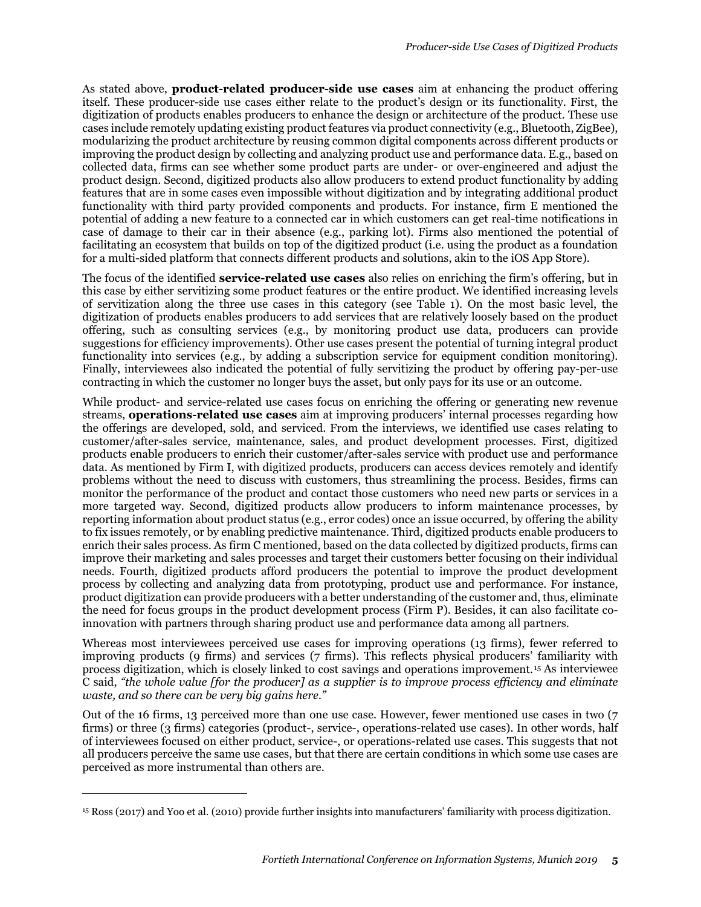As stated above, **product-related producer-side use cases** aim at enhancing the product offering itself. These producer-side use cases either relate to the product's design or its functionality. First, the digitization of products enables producers to enhance the design or architecture of the product. These use cases include remotely updating existing product features via product connectivity (e.g., Bluetooth, ZigBee), modularizing the product architecture by reusing common digital components across different products or improving the product design by collecting and analyzing product use and performance data. E.g., based on collected data, firms can see whether some product parts are under- or over-engineered and adjust the product design. Second, digitized products also allow producers to extend product functionality by adding features that are in some cases even impossible without digitization and by integrating additional product functionality with third party provided components and products. For instance, firm E mentioned the potential of adding a new feature to a connected car in which customers can get real-time notifications in case of damage to their car in their absence (e.g., parking lot). Firms also mentioned the potential of facilitating an ecosystem that builds on top of the digitized product (i.e. using the product as a foundation for a multi-sided platform that connects different products and solutions, akin to the iOS App Store).

The focus of the identified **service-related use cases** also relies on enriching the firm's offering, but in this case by either servitizing some product features or the entire product. We identified increasing levels of servitization along the three use cases in this category (see Table 1). On the most basic level, the digitization of products enables producers to add services that are relatively loosely based on the product offering, such as consulting services (e.g., by monitoring product use data, producers can provide suggestions for efficiency improvements). Other use cases present the potential of turning integral product functionality into services (e.g., by adding a subscription service for equipment condition monitoring). Finally, interviewees also indicated the potential of fully servitizing the product by offering pay-per-use contracting in which the customer no longer buys the asset, but only pays for its use or an outcome.

While product- and service-related use cases focus on enriching the offering or generating new revenue streams, **operations-related use cases** aim at improving producers' internal processes regarding how the offerings are developed, sold, and serviced. From the interviews, we identified use cases relating to customer/after-sales service, maintenance, sales, and product development processes. First, digitized products enable producers to enrich their customer/after-sales service with product use and performance data. As mentioned by Firm I, with digitized products, producers can access devices remotely and identify problems without the need to discuss with customers, thus streamlining the process. Besides, firms can monitor the performance of the product and contact those customers who need new parts or services in a more targeted way. Second, digitized products allow producers to inform maintenance processes, by reporting information about product status (e.g., error codes) once an issue occurred, by offering the ability to fix issues remotely, or by enabling predictive maintenance. Third, digitized products enable producers to enrich their sales process. As firm C mentioned, based on the data collected by digitized products, firms can improve their marketing and sales processes and target their customers better focusing on their individual needs. Fourth, digitized products afford producers the potential to improve the product development process by collecting and analyzing data from prototyping, product use and performance. For instance, product digitization can provide producers with a better understanding of the customer and, thus, eliminate the need for focus groups in the product development process (Firm P). Besides, it can also facilitate coinnovation with partners through sharing product use and performance data among all partners.

Whereas most interviewees perceived use cases for improving operations (13 firms), fewer referred to improving products (9 firms) and services (7 firms). This reflects physical producers' familiarity with process digitization, which is closely linked to cost savings and operations improvement. [15](#page-4-0) As interviewee C said, *"the whole value [for the producer] as a supplier is to improve process efficiency and eliminate waste, and so there can be very big gains here."*

Out of the 16 firms, 13 perceived more than one use case. However, fewer mentioned use cases in two (7 firms) or three (3 firms) categories (product-, service-, operations-related use cases). In other words, half of interviewees focused on either product, service-, or operations-related use cases. This suggests that not all producers perceive the same use cases, but that there are certain conditions in which some use cases are perceived as more instrumental than others are.

 $\overline{a}$ 

<span id="page-4-0"></span><sup>15</sup> Ross (2017) and Yoo et al. (2010) provide further insights into manufacturers' familiarity with process digitization.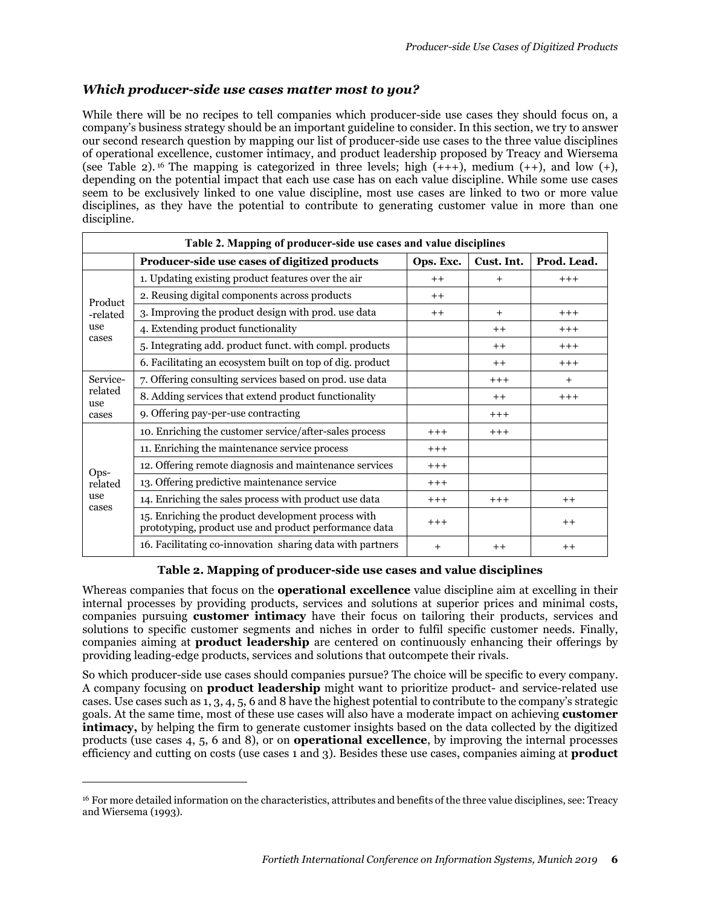#### *Which producer-side use cases matter most to you?*

While there will be no recipes to tell companies which producer-side use cases they should focus on, a company's business strategy should be an important guideline to consider. In this section, we try to answer our second research question by mapping our list of producer-side use cases to the three value disciplines of operational excellence, customer intimacy, and product leadership proposed by Treacy and Wiersema (see Table 2).<sup>[16](#page-5-0)</sup> The mapping is categorized in three levels; high  $(+++)$ , medium  $(+)$ , and low  $(+)$ , depending on the potential impact that each use case has on each value discipline. While some use cases seem to be exclusively linked to one value discipline, most use cases are linked to two or more value disciplines, as they have the potential to contribute to generating customer value in more than one discipline.

| Table 2. Mapping of producer-side use cases and value disciplines |                                                                                                             |           |            |             |  |  |  |
|-------------------------------------------------------------------|-------------------------------------------------------------------------------------------------------------|-----------|------------|-------------|--|--|--|
|                                                                   | Producer-side use cases of digitized products                                                               | Ops. Exc. | Cust. Int. | Prod. Lead. |  |  |  |
| Product<br>-related<br>use<br>cases                               | 1. Updating existing product features over the air                                                          | $++$      | $^{+}$     | $+++$       |  |  |  |
|                                                                   | 2. Reusing digital components across products                                                               | $++$      |            |             |  |  |  |
|                                                                   | 3. Improving the product design with prod. use data                                                         | $++$      | $+$        | $+++$       |  |  |  |
|                                                                   | 4. Extending product functionality                                                                          |           | $++$       | $+++$       |  |  |  |
|                                                                   | 5. Integrating add. product funct. with compl. products                                                     |           | $++$       | $+++$       |  |  |  |
|                                                                   | 6. Facilitating an ecosystem built on top of dig. product                                                   |           | $++$       | $+++$       |  |  |  |
| Service-<br>related<br>use<br>cases                               | 7. Offering consulting services based on prod. use data                                                     |           | $+++$      | $+$         |  |  |  |
|                                                                   | 8. Adding services that extend product functionality                                                        |           | $++$       | $^{+ + +}$  |  |  |  |
|                                                                   | 9. Offering pay-per-use contracting                                                                         |           | $+++$      |             |  |  |  |
| Ops-<br>related<br>use<br>cases                                   | 10. Enriching the customer service/after-sales process                                                      | $+++$     | $+++$      |             |  |  |  |
|                                                                   | 11. Enriching the maintenance service process                                                               | $+++$     |            |             |  |  |  |
|                                                                   | 12. Offering remote diagnosis and maintenance services                                                      | $+++$     |            |             |  |  |  |
|                                                                   | 13. Offering predictive maintenance service                                                                 | $+++$     |            |             |  |  |  |
|                                                                   | 14. Enriching the sales process with product use data                                                       | $+++$     | $+++$      | $++$        |  |  |  |
|                                                                   | 15. Enriching the product development process with<br>prototyping, product use and product performance data | $+++$     |            | $++$        |  |  |  |
|                                                                   | 16. Facilitating co-innovation sharing data with partners                                                   | $^{+}$    | $++$       | $++$        |  |  |  |

#### **Table 2. Mapping of producer-side use cases and value disciplines**

Whereas companies that focus on the **operational excellence** value discipline aim at excelling in their internal processes by providing products, services and solutions at superior prices and minimal costs, companies pursuing **customer intimacy** have their focus on tailoring their products, services and solutions to specific customer segments and niches in order to fulfil specific customer needs. Finally, companies aiming at **product leadership** are centered on continuously enhancing their offerings by providing leading-edge products, services and solutions that outcompete their rivals.

So which producer-side use cases should companies pursue? The choice will be specific to every company. A company focusing on **product leadership** might want to prioritize product- and service-related use cases. Use cases such as 1, 3, 4, 5, 6 and 8 have the highest potential to contribute to the company's strategic goals. At the same time, most of these use cases will also have a moderate impact on achieving **customer intimacy,** by helping the firm to generate customer insights based on the data collected by the digitized products (use cases 4, 5, 6 and 8), or on **operational excellence**, by improving the internal processes efficiency and cutting on costs (use cases 1 and 3). Besides these use cases, companies aiming at **product** 

1

<span id="page-5-0"></span><sup>&</sup>lt;sup>16</sup> For more detailed information on the characteristics, attributes and benefits of the three value disciplines, see: Treacy and Wiersema (1993).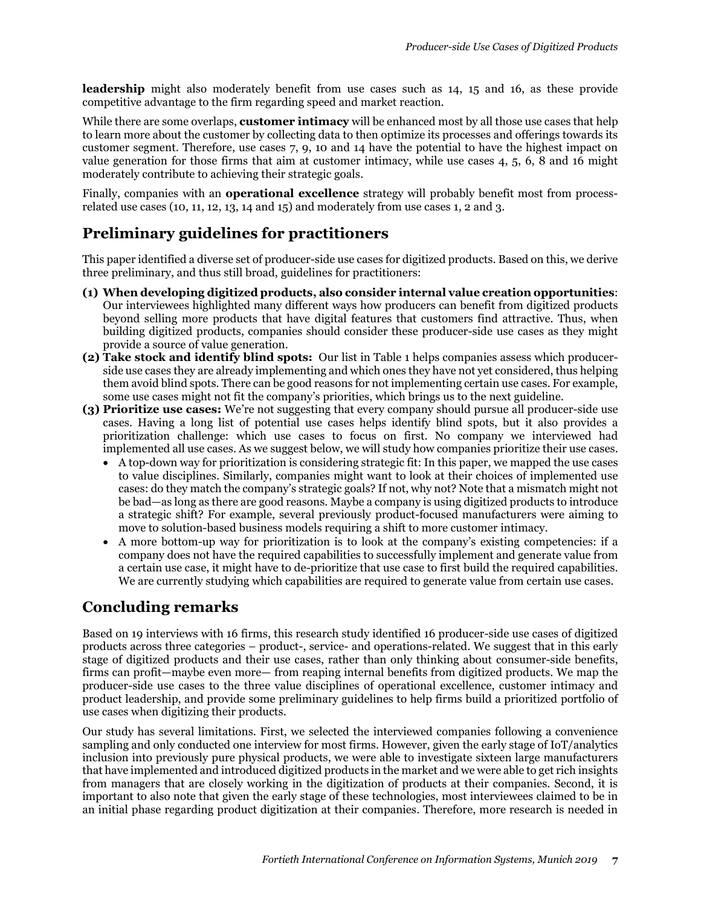**leadership** might also moderately benefit from use cases such as 14, 15 and 16, as these provide competitive advantage to the firm regarding speed and market reaction.

While there are some overlaps, **customer intimacy** will be enhanced most by all those use cases that help to learn more about the customer by collecting data to then optimize its processes and offerings towards its customer segment. Therefore, use cases 7, 9, 10 and 14 have the potential to have the highest impact on value generation for those firms that aim at customer intimacy, while use cases 4, 5, 6, 8 and 16 might moderately contribute to achieving their strategic goals.

Finally, companies with an **operational excellence** strategy will probably benefit most from processrelated use cases (10, 11, 12, 13, 14 and 15) and moderately from use cases 1, 2 and 3.

# **Preliminary guidelines for practitioners**

This paper identified a diverse set of producer-side use cases for digitized products. Based on this, we derive three preliminary, and thus still broad, guidelines for practitioners:

- **(1) When developing digitized products, also consider internal value creation opportunities**: Our interviewees highlighted many different ways how producers can benefit from digitized products beyond selling more products that have digital features that customers find attractive. Thus, when building digitized products, companies should consider these producer-side use cases as they might provide a source of value generation.
- **(2) Take stock and identify blind spots:** Our list in Table 1 helps companies assess which producerside use cases they are already implementing and which ones they have not yet considered, thus helping them avoid blind spots. There can be good reasons for not implementing certain use cases. For example, some use cases might not fit the company's priorities, which brings us to the next guideline.
- **(3) Prioritize use cases:** We're not suggesting that every company should pursue all producer-side use cases. Having a long list of potential use cases helps identify blind spots, but it also provides a prioritization challenge: which use cases to focus on first. No company we interviewed had implemented all use cases. As we suggest below, we will study how companies prioritize their use cases.
	- A top-down way for prioritization is considering strategic fit: In this paper, we mapped the use cases to value disciplines. Similarly, companies might want to look at their choices of implemented use cases: do they match the company's strategic goals? If not, why not? Note that a mismatch might not be bad—as long as there are good reasons. Maybe a company is using digitized products to introduce a strategic shift? For example, several previously product-focused manufacturers were aiming to move to solution-based business models requiring a shift to more customer intimacy.
	- A more bottom-up way for prioritization is to look at the company's existing competencies: if a company does not have the required capabilities to successfully implement and generate value from a certain use case, it might have to de-prioritize that use case to first build the required capabilities. We are currently studying which capabilities are required to generate value from certain use cases.

# **Concluding remarks**

Based on 19 interviews with 16 firms, this research study identified 16 producer-side use cases of digitized products across three categories – product-, service- and operations-related. We suggest that in this early stage of digitized products and their use cases, rather than only thinking about consumer-side benefits, firms can profit—maybe even more— from reaping internal benefits from digitized products. We map the producer-side use cases to the three value disciplines of operational excellence, customer intimacy and product leadership, and provide some preliminary guidelines to help firms build a prioritized portfolio of use cases when digitizing their products.

Our study has several limitations. First, we selected the interviewed companies following a convenience sampling and only conducted one interview for most firms. However, given the early stage of IoT/analytics inclusion into previously pure physical products, we were able to investigate sixteen large manufacturers that have implemented and introduced digitized products in the market and we were able to get rich insights from managers that are closely working in the digitization of products at their companies. Second, it is important to also note that given the early stage of these technologies, most interviewees claimed to be in an initial phase regarding product digitization at their companies. Therefore, more research is needed in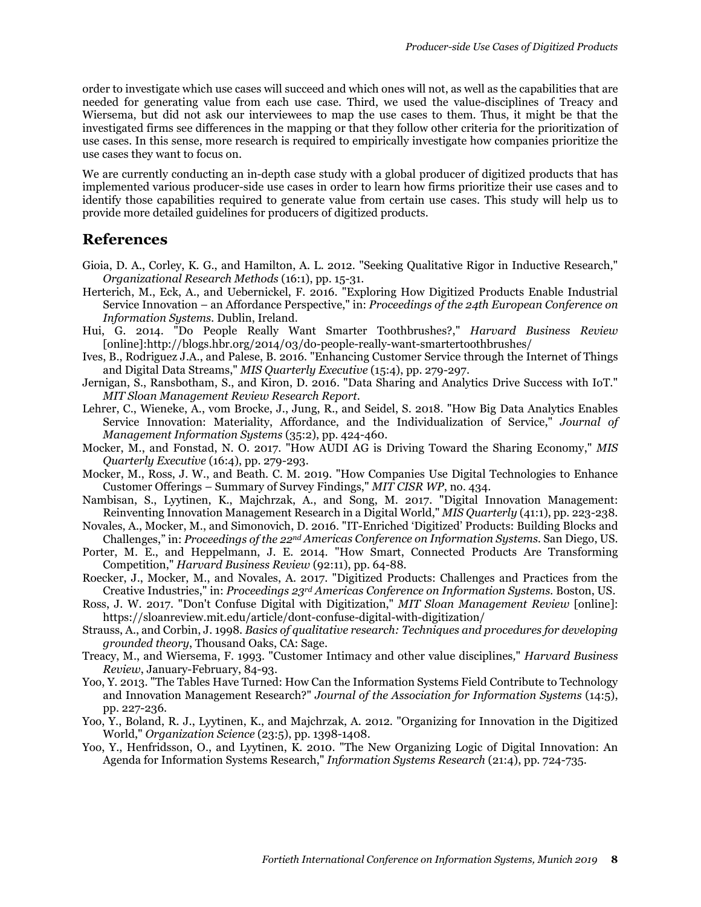order to investigate which use cases will succeed and which ones will not, as well as the capabilities that are needed for generating value from each use case. Third, we used the value-disciplines of Treacy and Wiersema, but did not ask our interviewees to map the use cases to them. Thus, it might be that the investigated firms see differences in the mapping or that they follow other criteria for the prioritization of use cases. In this sense, more research is required to empirically investigate how companies prioritize the use cases they want to focus on.

We are currently conducting an in-depth case study with a global producer of digitized products that has implemented various producer-side use cases in order to learn how firms prioritize their use cases and to identify those capabilities required to generate value from certain use cases. This study will help us to provide more detailed guidelines for producers of digitized products.

#### **References**

- Gioia, D. A., Corley, K. G., and Hamilton, A. L. 2012. "Seeking Qualitative Rigor in Inductive Research," *Organizational Research Methods* (16:1), pp. 15-31.
- Herterich, M., Eck, A., and Uebernickel, F. 2016. "Exploring How Digitized Products Enable Industrial Service Innovation – an Affordance Perspective," in: *Proceedings of the 24th European Conference on Information Systems.* Dublin, Ireland.
- Hui, G. 2014. "Do People Really Want Smarter Toothbrushes?," *Harvard Business Review* [online]:http://blogs.hbr.org/2014/03/do-people-really-want-smartertoothbrushes/
- Ives, B., Rodriguez J.A., and Palese, B. 2016. "Enhancing Customer Service through the Internet of Things and Digital Data Streams," *MIS Quarterly Executive* (15:4), pp. 279-297.
- Jernigan, S., Ransbotham, S., and Kiron, D. 2016. "Data Sharing and Analytics Drive Success with IoT." *MIT Sloan Management Review Research Report*.
- Lehrer, C., Wieneke, A., vom Brocke, J., Jung, R., and Seidel, S. 2018. "How Big Data Analytics Enables Service Innovation: Materiality, Affordance, and the Individualization of Service," *Journal of Management Information Systems* (35:2), pp. 424-460.
- Mocker, M., and Fonstad, N. O. 2017. "How AUDI AG is Driving Toward the Sharing Economy," *MIS Quarterly Executive* (16:4), pp. 279-293.
- Mocker, M., Ross, J. W., and Beath. C. M. 2019. "How Companies Use Digital Technologies to Enhance Customer Offerings – Summary of Survey Findings," *MIT CISR WP*, no. 434.
- Nambisan, S., Lyytinen, K., Majchrzak, A., and Song, M. 2017. "Digital Innovation Management: Reinventing Innovation Management Research in a Digital World," *MIS Quarterly* (41:1), pp. 223-238.
- Novales, A., Mocker, M., and Simonovich, D. 2016. "IT-Enriched 'Digitized' Products: Building Blocks and Challenges," in: *Proceedings of the 22nd Americas Conference on Information Systems.* San Diego, US.
- Porter, M. E., and Heppelmann, J. E. 2014. "How Smart, Connected Products Are Transforming Competition," *Harvard Business Review* (92:11), pp. 64-88.
- Roecker, J., Mocker, M., and Novales, A. 2017. "Digitized Products: Challenges and Practices from the Creative Industries," in: *Proceedings 23rd Americas Conference on Information Systems.* Boston, US.
- Ross, J. W. 2017. "Don't Confuse Digital with Digitization," *MIT Sloan Management Review* [online]: https://sloanreview.mit.edu/article/dont-confuse-digital-with-digitization/
- Strauss, A., and Corbin, J. 1998. *Basics of qualitative research: Techniques and procedures for developing grounded theory*, Thousand Oaks, CA: Sage.
- Treacy, M., and Wiersema, F. 1993. "Customer Intimacy and other value disciplines*,*" *Harvard Business Review*, January-February, 84-93.
- Yoo, Y. 2013. "The Tables Have Turned: How Can the Information Systems Field Contribute to Technology and Innovation Management Research?" *Journal of the Association for Information Systems* (14:5), pp. 227-236.
- Yoo, Y., Boland, R. J., Lyytinen, K., and Majchrzak, A. 2012. "Organizing for Innovation in the Digitized World," *Organization Science* (23:5), pp. 1398-1408.
- Yoo, Y., Henfridsson, O., and Lyytinen, K. 2010. "The New Organizing Logic of Digital Innovation: An Agenda for Information Systems Research," *Information Systems Research* (21:4), pp. 724-735.